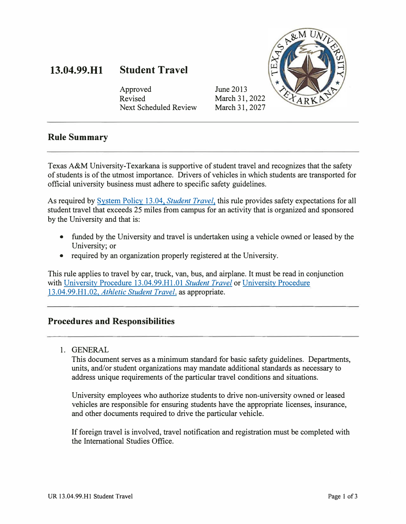#### **13.04.99.Hl Student Travel**

Approved Revised Next Scheduled Review June 2013 March 31, 2022 March 31, 2027



### **Rule Summary**

Texas A&M University-Texarkana is supportive of student travel and recognizes that the safety of students is of the utmost importance. Drivers of vehicles in which students are transported for official university business must adhere to specific safety guidelines.

As required by System Policy 13.04, *Student Travel,* this rule provides safety expectations for all student travel that exceeds 25 miles from campus for an activity that is organized and sponsored by the University and that is:

- funded by the University and travel is undertaken using a vehicle owned or leased by the University; or
- required by an organization properly registered at the University.

This rule applies to travel by car, truck, van, bus, and airplane. It must be read in conjunction with University Procedure 13.04.99.Hl.0l *Student Travel* or University Procedure 13.04.99.Hl.02, *Athletic Student Travel,* as appropriate.

## **Procedures and Responsibilities**

1. GENERAL

This document serves as a minimum standard for basic safety guidelines. Departments, units, and/or student organizations may mandate additional standards as necessary to address unique requirements of the particular travel conditions and situations.

University employees who authorize students to drive non-university owned or leased vehicles are responsible for ensuring students have the appropriate licenses, insurance, and other documents required to drive the particular vehicle.

If foreign travel is involved, travel notification and registration must be completed with the International Studies Office.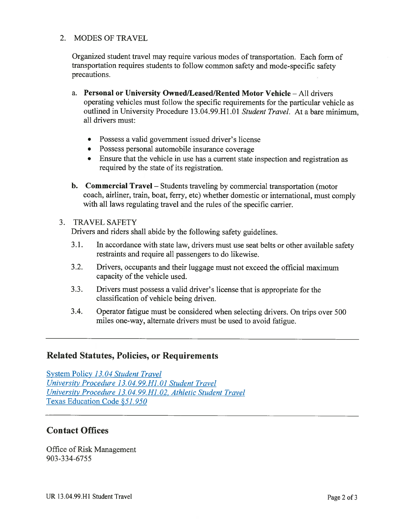### 2. MODES OF TRAVEL

Organized student travel may require various modes of transportation. Each form of transportation requires students to follow common safety and mode-specific safety precautions.

- a. Personal or University Owned/Leased/Rented Motor Vehicle All drivers operating vehicles must follow the specific requirements for the particular vehicle as outlined in University Procedure 13.04.99.H1.01 Student Travel. At a bare minimum, all drivers must:
	- Possess a valid government issued driver's license
	- Possess personal automobile insurance coverage
	- Ensure that the vehicle in use has a current state inspection and registration as required by the state of its registration.
- **b.** Commercial Travel Students traveling by commercial transportation (motor coach, airliner, train, boat, ferry, etc) whether domestic or international, must comply with all laws regulating travel and the rules of the specific carrier.

#### 3. TRAVEL SAFETY

Drivers and riders shall abide by the following safety guidelines.

- $3.1.$ In accordance with state law, drivers must use seat belts or other available safety restraints and require all passengers to do likewise.
- $3.2.$ Drivers, occupants and their luggage must not exceed the official maximum capacity of the vehicle used.
- $3.3.$ Drivers must possess a valid driver's license that is appropriate for the classification of vehicle being driven.
- $3.4.$ Operator fatigue must be considered when selecting drivers. On trips over 500 miles one-way, alternate drivers must be used to avoid fatigue.

### **Related Statutes, Policies, or Requirements**

System Policy 13.04 Student Travel University Procedure 13.04.99.H1.01 Student Travel University Procedure 13.04.99.H1.02, Athletic Student Travel Texas Education Code §51.950

## **Contact Offices**

Office of Risk Management 903-334-6755